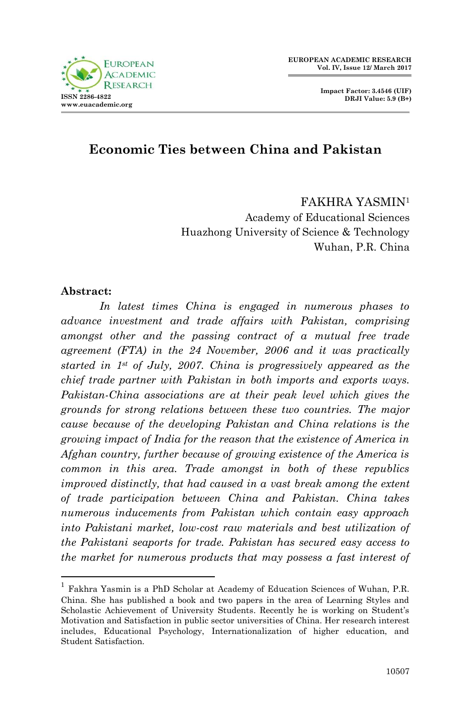

**Impact Factor: 3.4546 (UIF) DRJI Value: 5.9 (B+)**

# **Economic Ties between China and Pakistan**

## FAKHRA YASMIN<sup>1</sup> Academy of Educational Sciences Huazhong University of Science & Technology Wuhan, P.R. China

#### **Abstract:**

1

*In latest times China is engaged in numerous phases to advance investment and trade affairs with Pakistan, comprising amongst other and the passing contract of a mutual free trade agreement (FTA) in the 24 November, 2006 and it was practically started in 1st of July, 2007. China is progressively appeared as the chief trade partner with Pakistan in both imports and exports ways. Pakistan-China associations are at their peak level which gives the grounds for strong relations between these two countries. The major cause because of the developing Pakistan and China relations is the growing impact of India for the reason that the existence of America in Afghan country, further because of growing existence of the America is common in this area. Trade amongst in both of these republics improved distinctly, that had caused in a vast break among the extent of trade participation between China and Pakistan. China takes numerous inducements from Pakistan which contain easy approach into Pakistani market, low-cost raw materials and best utilization of the Pakistani seaports for trade. Pakistan has secured easy access to the market for numerous products that may possess a fast interest of* 

<sup>1</sup> Fakhra Yasmin is a PhD Scholar at Academy of Education Sciences of Wuhan, P.R. China. She has published a book and two papers in the area of Learning Styles and Scholastic Achievement of University Students. Recently he is working on Student"s Motivation and Satisfaction in public sector universities of China. Her research interest includes, Educational Psychology, Internationalization of higher education, and Student Satisfaction.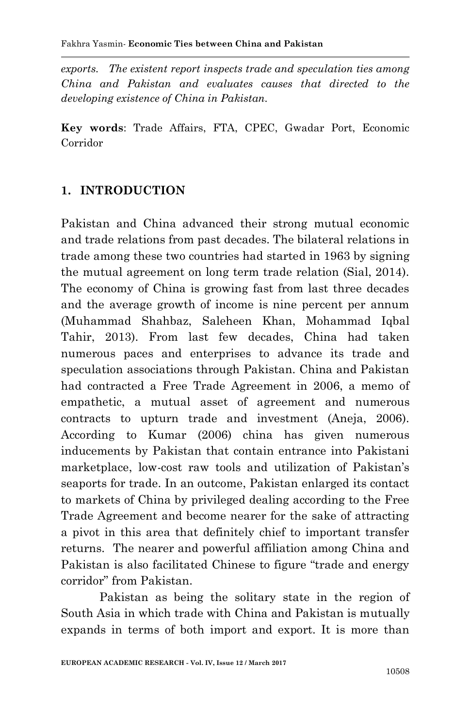*exports. The existent report inspects trade and speculation ties among China and Pakistan and evaluates causes that directed to the developing existence of China in Pakistan.* 

**Key words**: Trade Affairs, FTA, CPEC, Gwadar Port, Economic Corridor

## **1. INTRODUCTION**

Pakistan and China advanced their strong mutual economic and trade relations from past decades. The bilateral relations in trade among these two countries had started in 1963 by signing the mutual agreement on long term trade relation (Sial, 2014). The economy of China is growing fast from last three decades and the average growth of income is nine percent per annum (Muhammad Shahbaz, Saleheen Khan, Mohammad Iqbal Tahir, 2013). From last few decades, China had taken numerous paces and enterprises to advance its trade and speculation associations through Pakistan. China and Pakistan had contracted a Free Trade Agreement in 2006, a memo of empathetic, a mutual asset of agreement and numerous contracts to upturn trade and investment (Aneja, 2006). According to Kumar (2006) china has given numerous inducements by Pakistan that contain entrance into Pakistani marketplace, low-cost raw tools and utilization of Pakistan"s seaports for trade. In an outcome, Pakistan enlarged its contact to markets of China by privileged dealing according to the Free Trade Agreement and become nearer for the sake of attracting a pivot in this area that definitely chief to important transfer returns. The nearer and powerful affiliation among China and Pakistan is also facilitated Chinese to figure "trade and energy corridor" from Pakistan.

Pakistan as being the solitary state in the region of South Asia in which trade with China and Pakistan is mutually expands in terms of both import and export. It is more than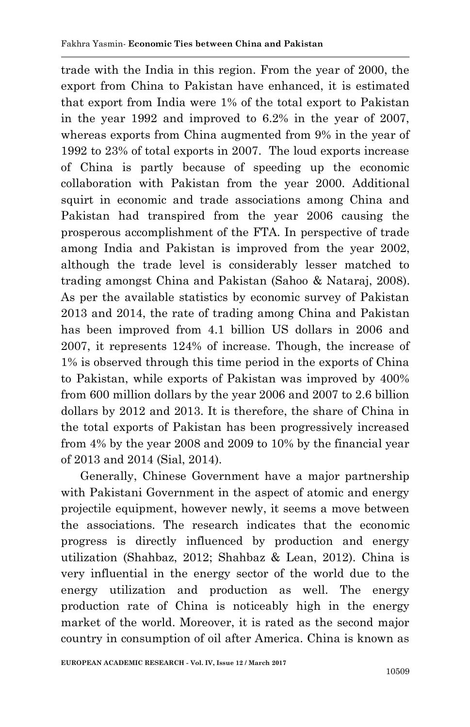trade with the India in this region. From the year of 2000, the export from China to Pakistan have enhanced, it is estimated that export from India were 1% of the total export to Pakistan in the year 1992 and improved to 6.2% in the year of 2007, whereas exports from China augmented from 9% in the year of 1992 to 23% of total exports in 2007. The loud exports increase of China is partly because of speeding up the economic collaboration with Pakistan from the year 2000. Additional squirt in economic and trade associations among China and Pakistan had transpired from the year 2006 causing the prosperous accomplishment of the FTA. In perspective of trade among India and Pakistan is improved from the year 2002, although the trade level is considerably lesser matched to trading amongst China and Pakistan (Sahoo & Nataraj, 2008). As per the available statistics by economic survey of Pakistan 2013 and 2014, the rate of trading among China and Pakistan has been improved from 4.1 billion US dollars in 2006 and 2007, it represents 124% of increase. Though, the increase of 1% is observed through this time period in the exports of China to Pakistan, while exports of Pakistan was improved by 400% from 600 million dollars by the year 2006 and 2007 to 2.6 billion dollars by 2012 and 2013. It is therefore, the share of China in the total exports of Pakistan has been progressively increased from 4% by the year 2008 and 2009 to 10% by the financial year of 2013 and 2014 (Sial, 2014).

Generally, Chinese Government have a major partnership with Pakistani Government in the aspect of atomic and energy projectile equipment, however newly, it seems a move between the associations. The research indicates that the economic progress is directly influenced by production and energy utilization (Shahbaz, 2012; Shahbaz & Lean, 2012). China is very influential in the energy sector of the world due to the energy utilization and production as well. The energy production rate of China is noticeably high in the energy market of the world. Moreover, it is rated as the second major country in consumption of oil after America. China is known as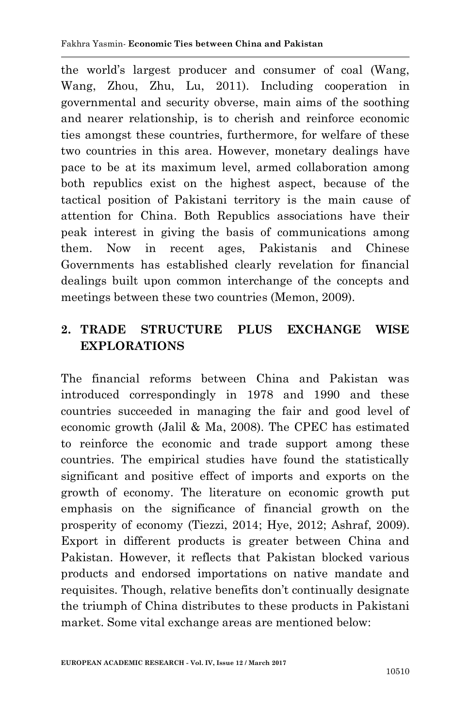the world"s largest producer and consumer of coal (Wang, Wang, Zhou, Zhu, Lu, 2011). Including cooperation in governmental and security obverse, main aims of the soothing and nearer relationship, is to cherish and reinforce economic ties amongst these countries, furthermore, for welfare of these two countries in this area. However, monetary dealings have pace to be at its maximum level, armed collaboration among both republics exist on the highest aspect, because of the tactical position of Pakistani territory is the main cause of attention for China. Both Republics associations have their peak interest in giving the basis of communications among them. Now in recent ages, Pakistanis and Chinese Governments has established clearly revelation for financial dealings built upon common interchange of the concepts and meetings between these two countries (Memon, 2009).

# **2. TRADE STRUCTURE PLUS EXCHANGE WISE EXPLORATIONS**

The financial reforms between China and Pakistan was introduced correspondingly in 1978 and 1990 and these countries succeeded in managing the fair and good level of economic growth (Jalil & Ma, 2008). The CPEC has estimated to reinforce the economic and trade support among these countries. The empirical studies have found the statistically significant and positive effect of imports and exports on the growth of economy. The literature on economic growth put emphasis on the significance of financial growth on the prosperity of economy (Tiezzi, 2014; Hye, 2012; Ashraf, 2009). Export in different products is greater between China and Pakistan. However, it reflects that Pakistan blocked various products and endorsed importations on native mandate and requisites. Though, relative benefits don"t continually designate the triumph of China distributes to these products in Pakistani market. Some vital exchange areas are mentioned below: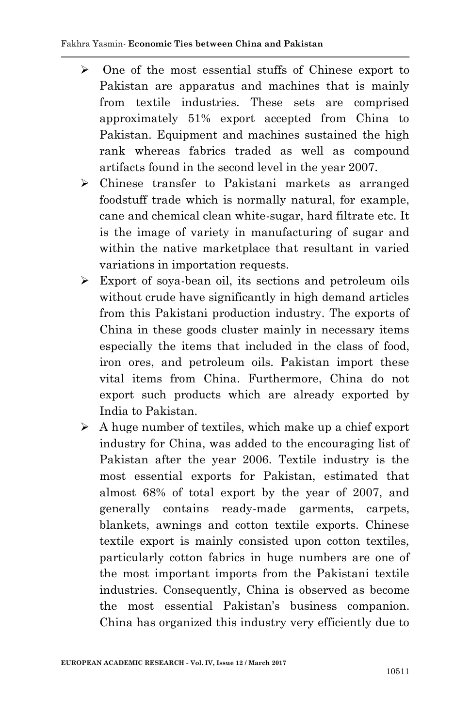- $\geq$  One of the most essential stuffs of Chinese export to Pakistan are apparatus and machines that is mainly from textile industries. These sets are comprised approximately 51% export accepted from China to Pakistan. Equipment and machines sustained the high rank whereas fabrics traded as well as compound artifacts found in the second level in the year 2007.
- Chinese transfer to Pakistani markets as arranged foodstuff trade which is normally natural, for example, cane and chemical clean white-sugar, hard filtrate etc. It is the image of variety in manufacturing of sugar and within the native marketplace that resultant in varied variations in importation requests.
- Export of soya-bean oil, its sections and petroleum oils without crude have significantly in high demand articles from this Pakistani production industry. The exports of China in these goods cluster mainly in necessary items especially the items that included in the class of food, iron ores, and petroleum oils. Pakistan import these vital items from China. Furthermore, China do not export such products which are already exported by India to Pakistan.
- $\triangleright$  A huge number of textiles, which make up a chief export industry for China, was added to the encouraging list of Pakistan after the year 2006. Textile industry is the most essential exports for Pakistan, estimated that almost 68% of total export by the year of 2007, and generally contains ready-made garments, carpets, blankets, awnings and cotton textile exports. Chinese textile export is mainly consisted upon cotton textiles, particularly cotton fabrics in huge numbers are one of the most important imports from the Pakistani textile industries. Consequently, China is observed as become the most essential Pakistan"s business companion. China has organized this industry very efficiently due to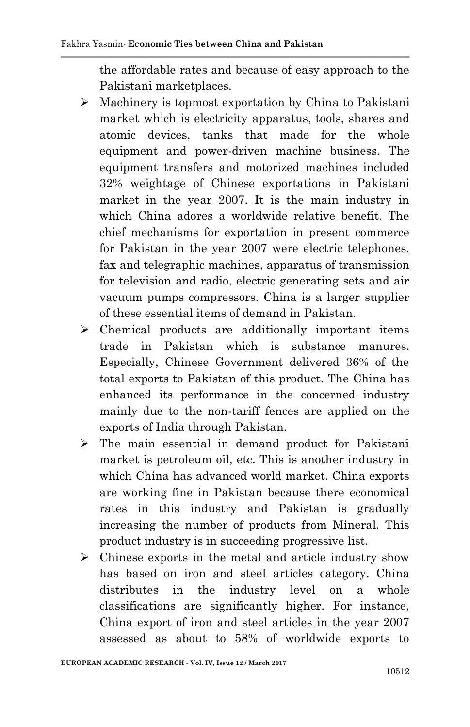the affordable rates and because of easy approach to the Pakistani marketplaces.

- $\triangleright$  Machinery is topmost exportation by China to Pakistani market which is electricity apparatus, tools, shares and atomic devices, tanks that made for the whole equipment and power-driven machine business. The equipment transfers and motorized machines included 32% weightage of Chinese exportations in Pakistani market in the year 2007. It is the main industry in which China adores a worldwide relative benefit. The chief mechanisms for exportation in present commerce for Pakistan in the year 2007 were electric telephones, fax and telegraphic machines, apparatus of transmission for television and radio, electric generating sets and air vacuum pumps compressors. China is a larger supplier of these essential items of demand in Pakistan.
- $\triangleright$  Chemical products are additionally important items trade in Pakistan which is substance manures. Especially, Chinese Government delivered 36% of the total exports to Pakistan of this product. The China has enhanced its performance in the concerned industry mainly due to the non-tariff fences are applied on the exports of India through Pakistan.
- $\triangleright$  The main essential in demand product for Pakistani market is petroleum oil, etc. This is another industry in which China has advanced world market. China exports are working fine in Pakistan because there economical rates in this industry and Pakistan is gradually increasing the number of products from Mineral. This product industry is in succeeding progressive list.
- $\triangleright$  Chinese exports in the metal and article industry show has based on iron and steel articles category. China distributes in the industry level on a whole classifications are significantly higher. For instance, China export of iron and steel articles in the year 2007 assessed as about to 58% of worldwide exports to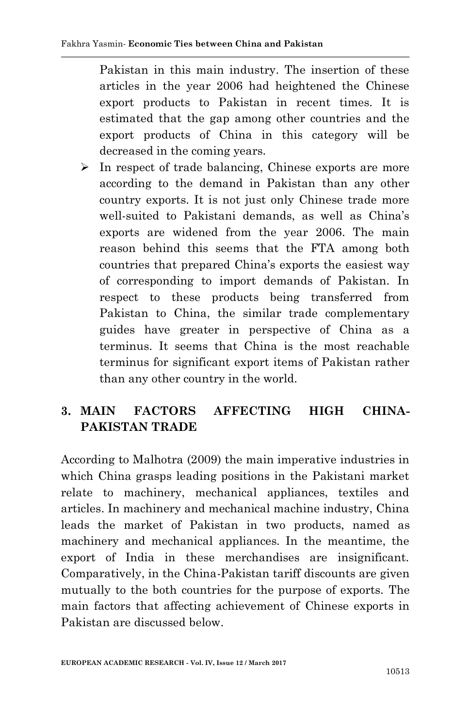Pakistan in this main industry. The insertion of these articles in the year 2006 had heightened the Chinese export products to Pakistan in recent times. It is estimated that the gap among other countries and the export products of China in this category will be decreased in the coming years.

 $\triangleright$  In respect of trade balancing, Chinese exports are more according to the demand in Pakistan than any other country exports. It is not just only Chinese trade more well-suited to Pakistani demands, as well as China"s exports are widened from the year 2006. The main reason behind this seems that the FTA among both countries that prepared China"s exports the easiest way of corresponding to import demands of Pakistan. In respect to these products being transferred from Pakistan to China, the similar trade complementary guides have greater in perspective of China as a terminus. It seems that China is the most reachable terminus for significant export items of Pakistan rather than any other country in the world.

# **3. MAIN FACTORS AFFECTING HIGH CHINA-PAKISTAN TRADE**

According to Malhotra (2009) the main imperative industries in which China grasps leading positions in the Pakistani market relate to machinery, mechanical appliances, textiles and articles. In machinery and mechanical machine industry, China leads the market of Pakistan in two products, named as machinery and mechanical appliances. In the meantime, the export of India in these merchandises are insignificant. Comparatively, in the China-Pakistan tariff discounts are given mutually to the both countries for the purpose of exports. The main factors that affecting achievement of Chinese exports in Pakistan are discussed below.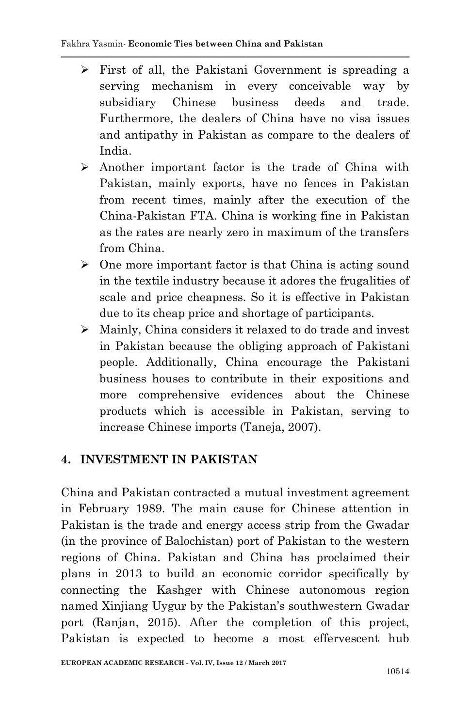- $\triangleright$  First of all, the Pakistani Government is spreading a serving mechanism in every conceivable way by subsidiary Chinese business deeds and trade. Furthermore, the dealers of China have no visa issues and antipathy in Pakistan as compare to the dealers of India.
- $\triangleright$  Another important factor is the trade of China with Pakistan, mainly exports, have no fences in Pakistan from recent times, mainly after the execution of the China-Pakistan FTA. China is working fine in Pakistan as the rates are nearly zero in maximum of the transfers from China.
- $\triangleright$  One more important factor is that China is acting sound in the textile industry because it adores the frugalities of scale and price cheapness. So it is effective in Pakistan due to its cheap price and shortage of participants.
- Mainly, China considers it relaxed to do trade and invest in Pakistan because the obliging approach of Pakistani people. Additionally, China encourage the Pakistani business houses to contribute in their expositions and more comprehensive evidences about the Chinese products which is accessible in Pakistan, serving to increase Chinese imports (Taneja, 2007).

# **4. INVESTMENT IN PAKISTAN**

China and Pakistan contracted a mutual investment agreement in February 1989. The main cause for Chinese attention in Pakistan is the trade and energy access strip from the Gwadar (in the province of Balochistan) port of Pakistan to the western regions of China. Pakistan and China has proclaimed their plans in 2013 to build an economic corridor specifically by connecting the Kashger with Chinese autonomous region named Xinjiang Uygur by the Pakistan's southwestern Gwadar port (Ranjan, 2015). After the completion of this project, Pakistan is expected to become a most effervescent hub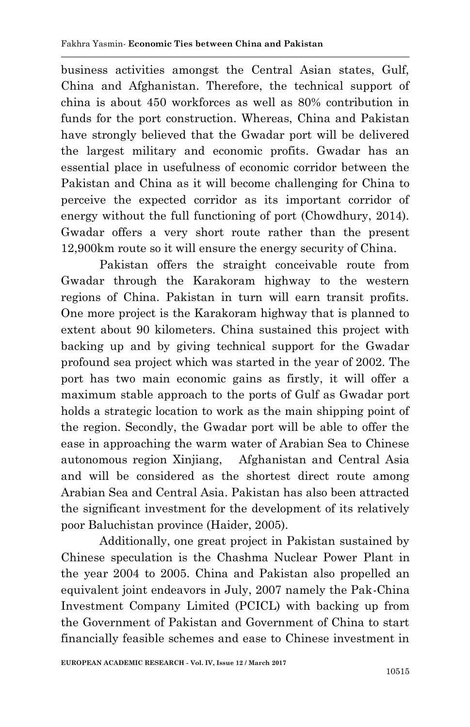business activities amongst the Central Asian states, Gulf, China and Afghanistan. Therefore, the technical support of china is about 450 workforces as well as 80% contribution in funds for the port construction. Whereas, China and Pakistan have strongly believed that the Gwadar port will be delivered the largest military and economic profits. Gwadar has an essential place in usefulness of economic corridor between the Pakistan and China as it will become challenging for China to perceive the expected corridor as its important corridor of energy without the full functioning of port (Chowdhury, 2014). Gwadar offers a very short route rather than the present 12,900km route so it will ensure the energy security of China.

Pakistan offers the straight conceivable route from Gwadar through the Karakoram highway to the western regions of China. Pakistan in turn will earn transit profits. One more project is the Karakoram highway that is planned to extent about 90 kilometers. China sustained this project with backing up and by giving technical support for the Gwadar profound sea project which was started in the year of 2002. The port has two main economic gains as firstly, it will offer a maximum stable approach to the ports of Gulf as Gwadar port holds a strategic location to work as the main shipping point of the region. Secondly, the Gwadar port will be able to offer the ease in approaching the warm water of Arabian Sea to Chinese autonomous region Xinjiang, Afghanistan and Central Asia and will be considered as the shortest direct route among Arabian Sea and Central Asia. Pakistan has also been attracted the significant investment for the development of its relatively poor Baluchistan province (Haider, 2005).

Additionally, one great project in Pakistan sustained by Chinese speculation is the Chashma Nuclear Power Plant in the year 2004 to 2005. China and Pakistan also propelled an equivalent joint endeavors in July, 2007 namely the Pak-China Investment Company Limited (PCICL) with backing up from the Government of Pakistan and Government of China to start financially feasible schemes and ease to Chinese investment in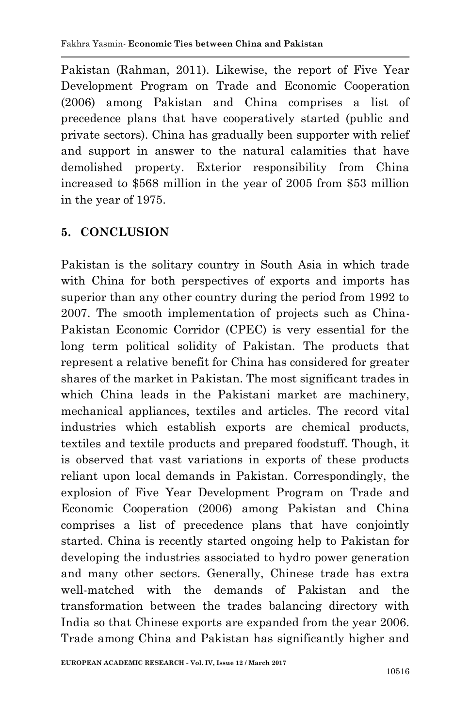Pakistan (Rahman, 2011). Likewise, the report of Five Year Development Program on Trade and Economic Cooperation (2006) among Pakistan and China comprises a list of precedence plans that have cooperatively started (public and private sectors). China has gradually been supporter with relief and support in answer to the natural calamities that have demolished property. Exterior responsibility from China increased to \$568 million in the year of 2005 from \$53 million in the year of 1975.

# **5. CONCLUSION**

Pakistan is the solitary country in South Asia in which trade with China for both perspectives of exports and imports has superior than any other country during the period from 1992 to 2007. The smooth implementation of projects such as China-Pakistan Economic Corridor (CPEC) is very essential for the long term political solidity of Pakistan. The products that represent a relative benefit for China has considered for greater shares of the market in Pakistan. The most significant trades in which China leads in the Pakistani market are machinery, mechanical appliances, textiles and articles. The record vital industries which establish exports are chemical products, textiles and textile products and prepared foodstuff. Though, it is observed that vast variations in exports of these products reliant upon local demands in Pakistan. Correspondingly, the explosion of Five Year Development Program on Trade and Economic Cooperation (2006) among Pakistan and China comprises a list of precedence plans that have conjointly started. China is recently started ongoing help to Pakistan for developing the industries associated to hydro power generation and many other sectors. Generally, Chinese trade has extra well-matched with the demands of Pakistan and the transformation between the trades balancing directory with India so that Chinese exports are expanded from the year 2006. Trade among China and Pakistan has significantly higher and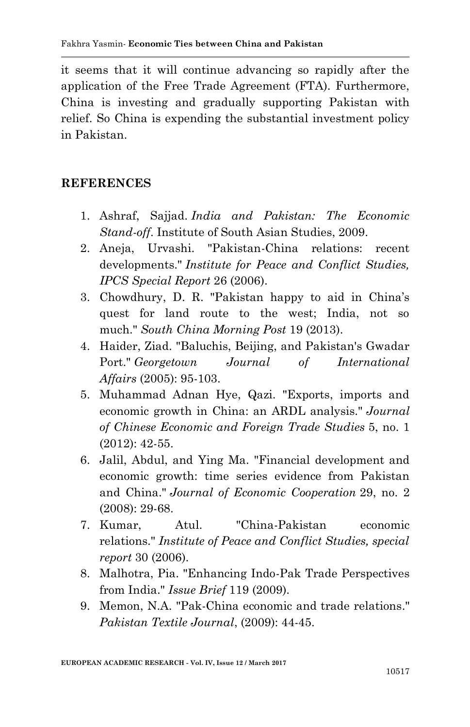it seems that it will continue advancing so rapidly after the application of the Free Trade Agreement (FTA). Furthermore, China is investing and gradually supporting Pakistan with relief. So China is expending the substantial investment policy in Pakistan.

#### **REFERENCES**

- 1. Ashraf, Sajjad. *India and Pakistan: The Economic Stand-off*. Institute of South Asian Studies, 2009.
- 2. Aneja, Urvashi. "Pakistan-China relations: recent developments." *Institute for Peace and Conflict Studies, IPCS Special Report* 26 (2006).
- 3. Chowdhury, D. R. "Pakistan happy to aid in China"s quest for land route to the west; India, not so much." *South China Morning Post* 19 (2013).
- 4. Haider, Ziad. "Baluchis, Beijing, and Pakistan's Gwadar Port." *Georgetown Journal of International Affairs* (2005): 95-103.
- 5. Muhammad Adnan Hye, Qazi. "Exports, imports and economic growth in China: an ARDL analysis." *Journal of Chinese Economic and Foreign Trade Studies* 5, no. 1 (2012): 42-55.
- 6. Jalil, Abdul, and Ying Ma. "Financial development and economic growth: time series evidence from Pakistan and China." *Journal of Economic Cooperation* 29, no. 2 (2008): 29-68.
- 7. Kumar, Atul. "China-Pakistan economic relations." *Institute of Peace and Conflict Studies, special report* 30 (2006).
- 8. Malhotra, Pia. "Enhancing Indo-Pak Trade Perspectives from India." *Issue Brief* 119 (2009).
- 9. Memon, N.A. "Pak-China economic and trade relations." *Pakistan Textile Journal*, (2009): 44-45.